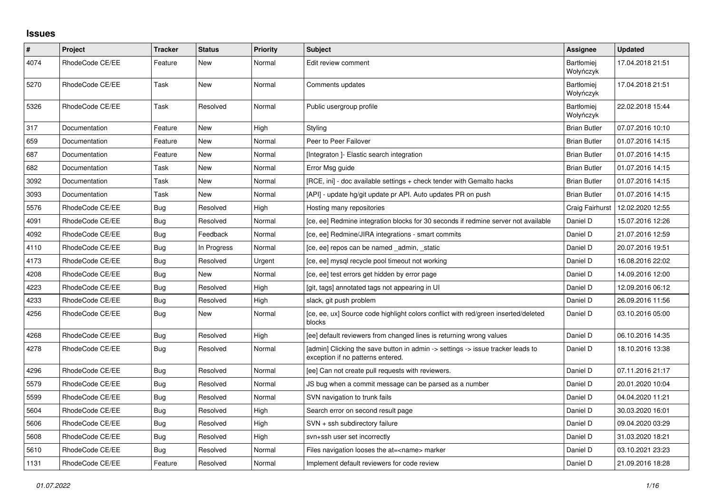## **Issues**

| $\sharp$ | Project         | <b>Tracker</b> | <b>Status</b> | <b>Priority</b> | <b>Subject</b>                                                                                                       | Assignee                       | <b>Updated</b>   |
|----------|-----------------|----------------|---------------|-----------------|----------------------------------------------------------------------------------------------------------------------|--------------------------------|------------------|
| 4074     | RhodeCode CE/EE | Feature        | New           | Normal          | Edit review comment                                                                                                  | <b>Bartłomiej</b><br>Wołyńczyk | 17.04.2018 21:51 |
| 5270     | RhodeCode CE/EE | Task           | New           | Normal          | Comments updates                                                                                                     | <b>Bartłomiej</b><br>Wołyńczyk | 17.04.2018 21:51 |
| 5326     | RhodeCode CE/EE | Task           | Resolved      | Normal          | Public usergroup profile                                                                                             | Bartłomiej<br>Wołyńczyk        | 22.02.2018 15:44 |
| 317      | Documentation   | Feature        | New           | High            | Styling                                                                                                              | <b>Brian Butler</b>            | 07.07.2016 10:10 |
| 659      | Documentation   | Feature        | New           | Normal          | Peer to Peer Failover                                                                                                | <b>Brian Butler</b>            | 01.07.2016 14:15 |
| 687      | Documentation   | Feature        | New           | Normal          | [Integraton] - Elastic search integration                                                                            | <b>Brian Butler</b>            | 01.07.2016 14:15 |
| 682      | Documentation   | Task           | New           | Normal          | Error Msg guide                                                                                                      | <b>Brian Butler</b>            | 01.07.2016 14:15 |
| 3092     | Documentation   | Task           | New           | Normal          | [RCE, ini] - doc available settings + check tender with Gemalto hacks                                                | <b>Brian Butler</b>            | 01.07.2016 14:15 |
| 3093     | Documentation   | Task           | New           | Normal          | [API] - update hg/git update pr API. Auto updates PR on push                                                         | <b>Brian Butler</b>            | 01.07.2016 14:15 |
| 5576     | RhodeCode CE/EE | Bug            | Resolved      | High            | Hosting many repositories                                                                                            | Craig Fairhurst                | 12.02.2020 12:55 |
| 4091     | RhodeCode CE/EE | Bug            | Resolved      | Normal          | [ce, ee] Redmine integration blocks for 30 seconds if redmine server not available                                   | Daniel D                       | 15.07.2016 12:26 |
| 4092     | RhodeCode CE/EE | <b>Bug</b>     | Feedback      | Normal          | [ce, ee] Redmine/JIRA integrations - smart commits                                                                   | Daniel D                       | 21.07.2016 12:59 |
| 4110     | RhodeCode CE/EE | Bug            | In Progress   | Normal          | [ce, ee] repos can be named _admin, _static                                                                          | Daniel D                       | 20.07.2016 19:51 |
| 4173     | RhodeCode CE/EE | Bug            | Resolved      | Urgent          | [ce, ee] mysql recycle pool timeout not working                                                                      | Daniel D                       | 16.08.2016 22:02 |
| 4208     | RhodeCode CE/EE | <b>Bug</b>     | New           | Normal          | [ce, ee] test errors get hidden by error page                                                                        | Daniel D                       | 14.09.2016 12:00 |
| 4223     | RhodeCode CE/EE | <b>Bug</b>     | Resolved      | High            | [git, tags] annotated tags not appearing in UI                                                                       | Daniel D                       | 12.09.2016 06:12 |
| 4233     | RhodeCode CE/EE | Bug            | Resolved      | High            | slack, git push problem                                                                                              | Daniel D                       | 26.09.2016 11:56 |
| 4256     | RhodeCode CE/EE | <b>Bug</b>     | New           | Normal          | [ce, ee, ux] Source code highlight colors conflict with red/green inserted/deleted<br>blocks                         | Daniel D                       | 03.10.2016 05:00 |
| 4268     | RhodeCode CE/EE | <b>Bug</b>     | Resolved      | High            | [ee] default reviewers from changed lines is returning wrong values                                                  | Daniel D                       | 06.10.2016 14:35 |
| 4278     | RhodeCode CE/EE | Bug            | Resolved      | Normal          | [admin] Clicking the save button in admin -> settings -> issue tracker leads to<br>exception if no patterns entered. | Daniel D                       | 18.10.2016 13:38 |
| 4296     | RhodeCode CE/EE | Bug            | Resolved      | Normal          | [ee] Can not create pull requests with reviewers.                                                                    | Daniel D                       | 07.11.2016 21:17 |
| 5579     | RhodeCode CE/EE | <b>Bug</b>     | Resolved      | Normal          | JS bug when a commit message can be parsed as a number                                                               | Daniel D                       | 20.01.2020 10:04 |
| 5599     | RhodeCode CE/EE | Bug            | Resolved      | Normal          | SVN navigation to trunk fails                                                                                        | Daniel D                       | 04.04.2020 11:21 |
| 5604     | RhodeCode CE/EE | <b>Bug</b>     | Resolved      | High            | Search error on second result page                                                                                   | Daniel D                       | 30.03.2020 16:01 |
| 5606     | RhodeCode CE/EE | <b>Bug</b>     | Resolved      | High            | SVN + ssh subdirectory failure                                                                                       | Daniel D                       | 09.04.2020 03:29 |
| 5608     | RhodeCode CE/EE | Bug            | Resolved      | High            | svn+ssh user set incorrectly                                                                                         | Daniel D                       | 31.03.2020 18:21 |
| 5610     | RhodeCode CE/EE | Bug            | Resolved      | Normal          | Files navigation looses the at= <name> marker</name>                                                                 | Daniel D                       | 03.10.2021 23:23 |
| 1131     | RhodeCode CE/EE | Feature        | Resolved      | Normal          | Implement default reviewers for code review                                                                          | Daniel D                       | 21.09.2016 18:28 |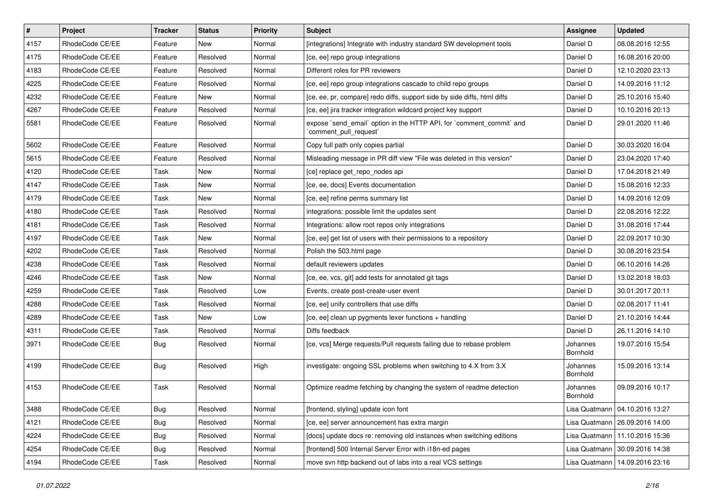| $\vert$ # | Project         | <b>Tracker</b> | <b>Status</b> | <b>Priority</b> | <b>Subject</b>                                                                                 | Assignee             | <b>Updated</b>                   |
|-----------|-----------------|----------------|---------------|-----------------|------------------------------------------------------------------------------------------------|----------------------|----------------------------------|
| 4157      | RhodeCode CE/EE | Feature        | New           | Normal          | [integrations] Integrate with industry standard SW development tools                           | Daniel D             | 08.08.2016 12:55                 |
| 4175      | RhodeCode CE/EE | Feature        | Resolved      | Normal          | [ce, ee] repo group integrations                                                               | Daniel D             | 16.08.2016 20:00                 |
| 4183      | RhodeCode CE/EE | Feature        | Resolved      | Normal          | Different roles for PR reviewers                                                               | Daniel D             | 12.10.2020 23:13                 |
| 4225      | RhodeCode CE/EE | Feature        | Resolved      | Normal          | [ce, ee] repo group integrations cascade to child repo groups                                  | Daniel D             | 14.09.2016 11:12                 |
| 4232      | RhodeCode CE/EE | Feature        | <b>New</b>    | Normal          | [ce, ee, pr, compare] redo diffs, support side by side diffs, html diffs                       | Daniel D             | 25.10.2016 15:40                 |
| 4267      | RhodeCode CE/EE | Feature        | Resolved      | Normal          | [ce, ee] jira tracker integration wildcard project key support                                 | Daniel D             | 10.10.2016 20:13                 |
| 5581      | RhodeCode CE/EE | Feature        | Resolved      | Normal          | expose `send_email` option in the HTTP API, for `comment_commit` and<br>`comment_pull_request` | Daniel D             | 29.01.2020 11:46                 |
| 5602      | RhodeCode CE/EE | Feature        | Resolved      | Normal          | Copy full path only copies partial                                                             | Daniel D             | 30.03.2020 16:04                 |
| 5615      | RhodeCode CE/EE | Feature        | Resolved      | Normal          | Misleading message in PR diff view "File was deleted in this version"                          | Daniel D             | 23.04.2020 17:40                 |
| 4120      | RhodeCode CE/EE | Task           | New           | Normal          | [ce] replace get repo nodes api                                                                | Daniel D             | 17.04.2018 21:49                 |
| 4147      | RhodeCode CE/EE | Task           | New           | Normal          | [ce, ee, docs] Events documentation                                                            | Daniel D             | 15.08.2016 12:33                 |
| 4179      | RhodeCode CE/EE | Task           | <b>New</b>    | Normal          | [ce, ee] refine perms summary list                                                             | Daniel D             | 14.09.2016 12:09                 |
| 4180      | RhodeCode CE/EE | Task           | Resolved      | Normal          | integrations: possible limit the updates sent                                                  | Daniel D             | 22.08.2016 12:22                 |
| 4181      | RhodeCode CE/EE | Task           | Resolved      | Normal          | Integrations: allow root repos only integrations                                               | Daniel D             | 31.08.2016 17:44                 |
| 4197      | RhodeCode CE/EE | Task           | New           | Normal          | [ce, ee] get list of users with their permissions to a repository                              | Daniel D             | 22.09.2017 10:30                 |
| 4202      | RhodeCode CE/EE | Task           | Resolved      | Normal          | Polish the 503.html page                                                                       | Daniel D             | 30.08.2016 23:54                 |
| 4238      | RhodeCode CE/EE | Task           | Resolved      | Normal          | default reviewers updates                                                                      | Daniel D             | 06.10.2016 14:26                 |
| 4246      | RhodeCode CE/EE | Task           | New           | Normal          | [ce, ee, vcs, git] add tests for annotated git tags                                            | Daniel D             | 13.02.2018 18:03                 |
| 4259      | RhodeCode CE/EE | Task           | Resolved      | Low             | Events, create post-create-user event                                                          | Daniel D             | 30.01.2017 20:11                 |
| 4288      | RhodeCode CE/EE | Task           | Resolved      | Normal          | [ce, ee] unify controllers that use diffs                                                      | Daniel D             | 02.08.2017 11:41                 |
| 4289      | RhodeCode CE/EE | Task           | <b>New</b>    | Low             | [ce, ee] clean up pygments lexer functions + handling                                          | Daniel D             | 21.10.2016 14:44                 |
| 4311      | RhodeCode CE/EE | Task           | Resolved      | Normal          | Diffs feedback                                                                                 | Daniel D             | 26.11.2016 14:10                 |
| 3971      | RhodeCode CE/EE | Bug            | Resolved      | Normal          | [ce, vcs] Merge requests/Pull requests failing due to rebase problem                           | Johannes<br>Bornhold | 19.07.2016 15:54                 |
| 4199      | RhodeCode CE/EE | Bug            | Resolved      | High            | investigate: ongoing SSL problems when switching to 4.X from 3.X                               | Johannes<br>Bornhold | 15.09.2016 13:14                 |
| 4153      | RhodeCode CE/EE | Task           | Resolved      | Normal          | Optimize readme fetching by changing the system of readme detection                            | Johannes<br>Bornhold | 09.09.2016 10:17                 |
| 3488      | RhodeCode CE/EE | Bug            | Resolved      | Normal          | [frontend, styling] update icon font                                                           |                      | Lisa Quatmann   04.10.2016 13:27 |
| 4121      | RhodeCode CE/EE | <b>Bug</b>     | Resolved      | Normal          | [ce, ee] server announcement has extra margin                                                  |                      | Lisa Quatmann   26.09.2016 14:00 |
| 4224      | RhodeCode CE/EE | <b>Bug</b>     | Resolved      | Normal          | [docs] update docs re: removing old instances when switching editions                          |                      | Lisa Quatmann   11.10.2016 15:36 |
| 4254      | RhodeCode CE/EE | <b>Bug</b>     | Resolved      | Normal          | [frontend] 500 Internal Server Error with i18n-ed pages                                        |                      | Lisa Quatmann   30.09.2016 14:38 |
| 4194      | RhodeCode CE/EE | Task           | Resolved      | Normal          | move svn http backend out of labs into a real VCS settings                                     |                      | Lisa Quatmann   14.09.2016 23:16 |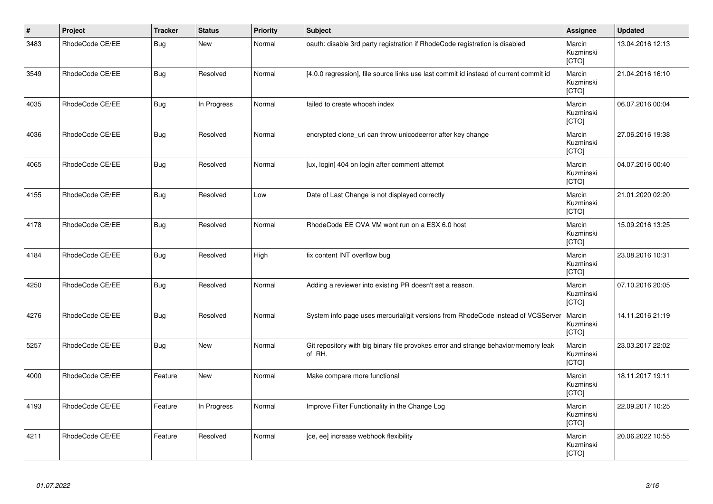| $\vert$ # | Project         | <b>Tracker</b> | <b>Status</b> | <b>Priority</b> | <b>Subject</b>                                                                                | Assignee                     | <b>Updated</b>   |
|-----------|-----------------|----------------|---------------|-----------------|-----------------------------------------------------------------------------------------------|------------------------------|------------------|
| 3483      | RhodeCode CE/EE | <b>Bug</b>     | <b>New</b>    | Normal          | oauth: disable 3rd party registration if RhodeCode registration is disabled                   | Marcin<br>Kuzminski<br>[CTO] | 13.04.2016 12:13 |
| 3549      | RhodeCode CE/EE | <b>Bug</b>     | Resolved      | Normal          | [4.0.0 regression], file source links use last commit id instead of current commit id         | Marcin<br>Kuzminski<br>[CTO] | 21.04.2016 16:10 |
| 4035      | RhodeCode CE/EE | <b>Bug</b>     | In Progress   | Normal          | failed to create whoosh index                                                                 | Marcin<br>Kuzminski<br>[CTO] | 06.07.2016 00:04 |
| 4036      | RhodeCode CE/EE | <b>Bug</b>     | Resolved      | Normal          | encrypted clone_uri can throw unicodeerror after key change                                   | Marcin<br>Kuzminski<br>[CTO] | 27.06.2016 19:38 |
| 4065      | RhodeCode CE/EE | <b>Bug</b>     | Resolved      | Normal          | [ux, login] 404 on login after comment attempt                                                | Marcin<br>Kuzminski<br>[CTO] | 04.07.2016 00:40 |
| 4155      | RhodeCode CE/EE | <b>Bug</b>     | Resolved      | Low             | Date of Last Change is not displayed correctly                                                | Marcin<br>Kuzminski<br>[CTO] | 21.01.2020 02:20 |
| 4178      | RhodeCode CE/EE | <b>Bug</b>     | Resolved      | Normal          | RhodeCode EE OVA VM wont run on a ESX 6.0 host                                                | Marcin<br>Kuzminski<br>[CTO] | 15.09.2016 13:25 |
| 4184      | RhodeCode CE/EE | <b>Bug</b>     | Resolved      | High            | fix content INT overflow bug                                                                  | Marcin<br>Kuzminski<br>[CTO] | 23.08.2016 10:31 |
| 4250      | RhodeCode CE/EE | <b>Bug</b>     | Resolved      | Normal          | Adding a reviewer into existing PR doesn't set a reason.                                      | Marcin<br>Kuzminski<br>[CTO] | 07.10.2016 20:05 |
| 4276      | RhodeCode CE/EE | Bug            | Resolved      | Normal          | System info page uses mercurial/git versions from RhodeCode instead of VCSServer              | Marcin<br>Kuzminski<br>[CTO] | 14.11.2016 21:19 |
| 5257      | RhodeCode CE/EE | <b>Bug</b>     | <b>New</b>    | Normal          | Git repository with big binary file provokes error and strange behavior/memory leak<br>of RH. | Marcin<br>Kuzminski<br>[CTO] | 23.03.2017 22:02 |
| 4000      | RhodeCode CE/EE | Feature        | New           | Normal          | Make compare more functional                                                                  | Marcin<br>Kuzminski<br>[CTO] | 18.11.2017 19:11 |
| 4193      | RhodeCode CE/EE | Feature        | In Progress   | Normal          | Improve Filter Functionality in the Change Log                                                | Marcin<br>Kuzminski<br>[CTO] | 22.09.2017 10:25 |
| 4211      | RhodeCode CE/EE | Feature        | Resolved      | Normal          | [ce, ee] increase webhook flexibility                                                         | Marcin<br>Kuzminski<br>[CTO] | 20.06.2022 10:55 |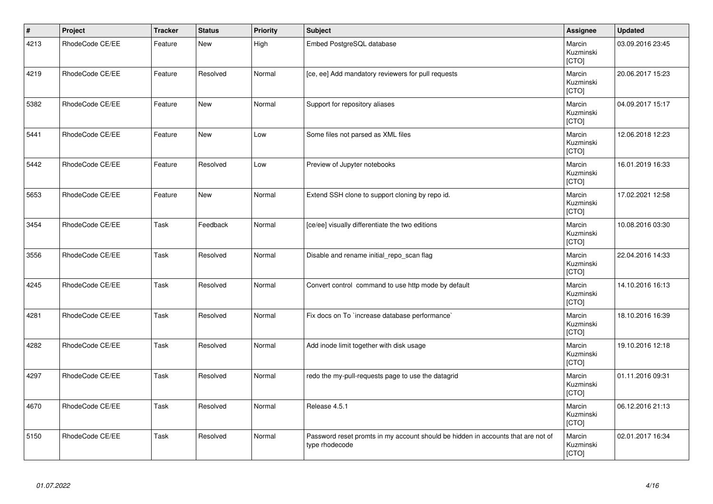| $\vert$ # | Project         | <b>Tracker</b> | <b>Status</b> | Priority | <b>Subject</b>                                                                                     | Assignee                     | <b>Updated</b>   |
|-----------|-----------------|----------------|---------------|----------|----------------------------------------------------------------------------------------------------|------------------------------|------------------|
| 4213      | RhodeCode CE/EE | Feature        | <b>New</b>    | High     | Embed PostgreSQL database                                                                          | Marcin<br>Kuzminski<br>[CTO] | 03.09.2016 23:45 |
| 4219      | RhodeCode CE/EE | Feature        | Resolved      | Normal   | [ce, ee] Add mandatory reviewers for pull requests                                                 | Marcin<br>Kuzminski<br>[CTO] | 20.06.2017 15:23 |
| 5382      | RhodeCode CE/EE | Feature        | <b>New</b>    | Normal   | Support for repository aliases                                                                     | Marcin<br>Kuzminski<br>[CTO] | 04.09.2017 15:17 |
| 5441      | RhodeCode CE/EE | Feature        | New           | Low      | Some files not parsed as XML files                                                                 | Marcin<br>Kuzminski<br>[CTO] | 12.06.2018 12:23 |
| 5442      | RhodeCode CE/EE | Feature        | Resolved      | Low      | Preview of Jupyter notebooks                                                                       | Marcin<br>Kuzminski<br>[CTO] | 16.01.2019 16:33 |
| 5653      | RhodeCode CE/EE | Feature        | New           | Normal   | Extend SSH clone to support cloning by repo id.                                                    | Marcin<br>Kuzminski<br>[CTO] | 17.02.2021 12:58 |
| 3454      | RhodeCode CE/EE | Task           | Feedback      | Normal   | [ce/ee] visually differentiate the two editions                                                    | Marcin<br>Kuzminski<br>[CTO] | 10.08.2016 03:30 |
| 3556      | RhodeCode CE/EE | Task           | Resolved      | Normal   | Disable and rename initial_repo_scan flag                                                          | Marcin<br>Kuzminski<br>[CTO] | 22.04.2016 14:33 |
| 4245      | RhodeCode CE/EE | Task           | Resolved      | Normal   | Convert control command to use http mode by default                                                | Marcin<br>Kuzminski<br>[CTO] | 14.10.2016 16:13 |
| 4281      | RhodeCode CE/EE | Task           | Resolved      | Normal   | Fix docs on To `increase database performance`                                                     | Marcin<br>Kuzminski<br>[CTO] | 18.10.2016 16:39 |
| 4282      | RhodeCode CE/EE | Task           | Resolved      | Normal   | Add inode limit together with disk usage                                                           | Marcin<br>Kuzminski<br>[CTO] | 19.10.2016 12:18 |
| 4297      | RhodeCode CE/EE | Task           | Resolved      | Normal   | redo the my-pull-requests page to use the datagrid                                                 | Marcin<br>Kuzminski<br>[CTO] | 01.11.2016 09:31 |
| 4670      | RhodeCode CE/EE | Task           | Resolved      | Normal   | Release 4.5.1                                                                                      | Marcin<br>Kuzminski<br>[CTO] | 06.12.2016 21:13 |
| 5150      | RhodeCode CE/EE | Task           | Resolved      | Normal   | Password reset promts in my account should be hidden in accounts that are not of<br>type rhodecode | Marcin<br>Kuzminski<br>[CTO] | 02.01.2017 16:34 |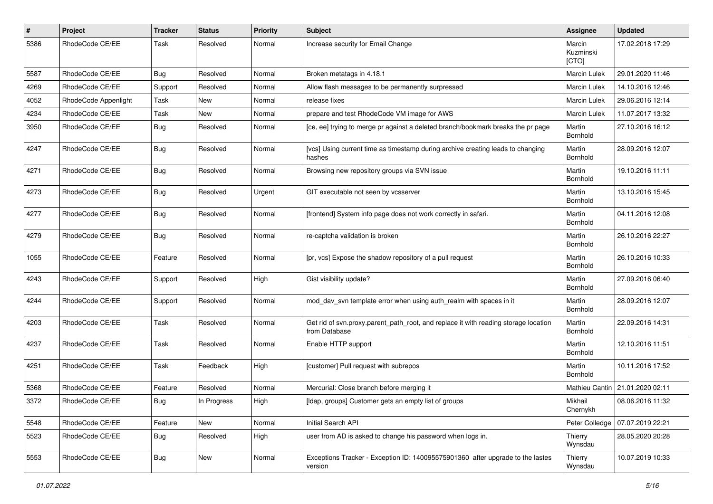| $\pmb{\#}$ | Project              | <b>Tracker</b> | <b>Status</b> | <b>Priority</b> | <b>Subject</b>                                                                                       | Assignee                     | <b>Updated</b>                    |
|------------|----------------------|----------------|---------------|-----------------|------------------------------------------------------------------------------------------------------|------------------------------|-----------------------------------|
| 5386       | RhodeCode CE/EE      | Task           | Resolved      | Normal          | Increase security for Email Change                                                                   | Marcin<br>Kuzminski<br>[CTO] | 17.02.2018 17:29                  |
| 5587       | RhodeCode CE/EE      | Bug            | Resolved      | Normal          | Broken metatags in 4.18.1                                                                            | Marcin Lulek                 | 29.01.2020 11:46                  |
| 4269       | RhodeCode CE/EE      | Support        | Resolved      | Normal          | Allow flash messages to be permanently surpressed                                                    | Marcin Lulek                 | 14.10.2016 12:46                  |
| 4052       | RhodeCode Appenlight | Task           | New           | Normal          | release fixes                                                                                        | Marcin Lulek                 | 29.06.2016 12:14                  |
| 4234       | RhodeCode CE/EE      | Task           | New           | Normal          | prepare and test RhodeCode VM image for AWS                                                          | <b>Marcin Lulek</b>          | 11.07.2017 13:32                  |
| 3950       | RhodeCode CE/EE      | Bug            | Resolved      | Normal          | [ce, ee] trying to merge pr against a deleted branch/bookmark breaks the pr page                     | Martin<br>Bornhold           | 27.10.2016 16:12                  |
| 4247       | RhodeCode CE/EE      | <b>Bug</b>     | Resolved      | Normal          | [vcs] Using current time as timestamp during archive creating leads to changing<br>hashes            | Martin<br>Bornhold           | 28.09.2016 12:07                  |
| 4271       | RhodeCode CE/EE      | <b>Bug</b>     | Resolved      | Normal          | Browsing new repository groups via SVN issue                                                         | Martin<br>Bornhold           | 19.10.2016 11:11                  |
| 4273       | RhodeCode CE/EE      | Bug            | Resolved      | Urgent          | GIT executable not seen by vcsserver                                                                 | Martin<br>Bornhold           | 13.10.2016 15:45                  |
| 4277       | RhodeCode CE/EE      | <b>Bug</b>     | Resolved      | Normal          | [frontend] System info page does not work correctly in safari.                                       | Martin<br>Bornhold           | 04.11.2016 12:08                  |
| 4279       | RhodeCode CE/EE      | Bug            | Resolved      | Normal          | re-captcha validation is broken                                                                      | Martin<br>Bornhold           | 26.10.2016 22:27                  |
| 1055       | RhodeCode CE/EE      | Feature        | Resolved      | Normal          | [pr, vcs] Expose the shadow repository of a pull request                                             | Martin<br>Bornhold           | 26.10.2016 10:33                  |
| 4243       | RhodeCode CE/EE      | Support        | Resolved      | High            | Gist visibility update?                                                                              | Martin<br>Bornhold           | 27.09.2016 06:40                  |
| 4244       | RhodeCode CE/EE      | Support        | Resolved      | Normal          | mod_dav_svn template error when using auth_realm with spaces in it                                   | Martin<br>Bornhold           | 28.09.2016 12:07                  |
| 4203       | RhodeCode CE/EE      | Task           | Resolved      | Normal          | Get rid of svn.proxy.parent_path_root, and replace it with reading storage location<br>from Database | Martin<br>Bornhold           | 22.09.2016 14:31                  |
| 4237       | RhodeCode CE/EE      | Task           | Resolved      | Normal          | Enable HTTP support                                                                                  | Martin<br>Bornhold           | 12.10.2016 11:51                  |
| 4251       | RhodeCode CE/EE      | Task           | Feedback      | High            | [customer] Pull request with subrepos                                                                | Martin<br>Bornhold           | 10.11.2016 17:52                  |
| 5368       | RhodeCode CE/EE      | Feature        | Resolved      | Normal          | Mercurial: Close branch before merging it                                                            |                              | Mathieu Cantin   21.01.2020 02:11 |
| 3372       | RhodeCode CE/EE      | Bug            | In Progress   | High            | [Idap, groups] Customer gets an empty list of groups                                                 | Mikhail<br>Chernykh          | 08.06.2016 11:32                  |
| 5548       | RhodeCode CE/EE      | Feature        | New           | Normal          | Initial Search API                                                                                   | Peter Colledge               | 07.07.2019 22:21                  |
| 5523       | RhodeCode CE/EE      | Bug            | Resolved      | High            | user from AD is asked to change his password when logs in.                                           | Thierry<br>Wynsdau           | 28.05.2020 20:28                  |
| 5553       | RhodeCode CE/EE      | Bug            | New           | Normal          | Exceptions Tracker - Exception ID: 140095575901360 after upgrade to the lastes<br>version            | Thierry<br>Wynsdau           | 10.07.2019 10:33                  |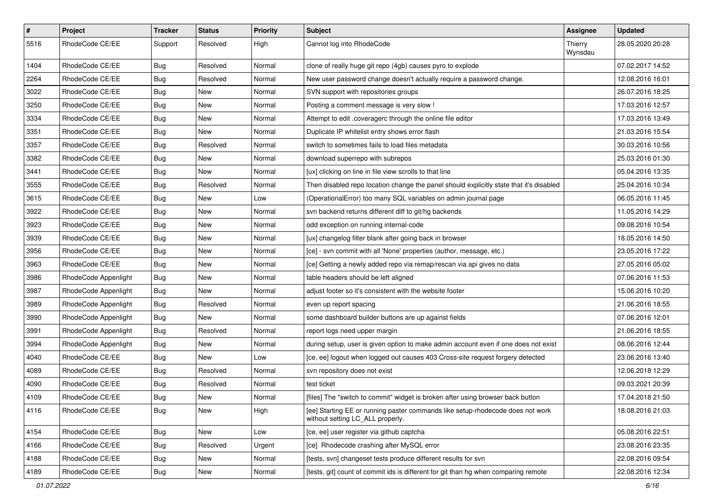| $\pmb{\#}$ | Project              | <b>Tracker</b> | <b>Status</b> | <b>Priority</b> | <b>Subject</b>                                                                                                     | Assignee           | <b>Updated</b>   |
|------------|----------------------|----------------|---------------|-----------------|--------------------------------------------------------------------------------------------------------------------|--------------------|------------------|
| 5516       | RhodeCode CE/EE      | Support        | Resolved      | High            | Cannot log into RhodeCode                                                                                          | Thierry<br>Wynsdau | 28.05.2020 20:28 |
| 1404       | RhodeCode CE/EE      | Bug            | Resolved      | Normal          | clone of really huge git repo (4gb) causes pyro to explode                                                         |                    | 07.02.2017 14:52 |
| 2264       | RhodeCode CE/EE      | Bug            | Resolved      | Normal          | New user password change doesn't actually require a password change.                                               |                    | 12.08.2016 16:01 |
| 3022       | RhodeCode CE/EE      | Bug            | New           | Normal          | SVN support with repositories groups                                                                               |                    | 26.07.2016 18:25 |
| 3250       | RhodeCode CE/EE      | <b>Bug</b>     | New           | Normal          | Posting a comment message is very slow !                                                                           |                    | 17.03.2016 12:57 |
| 3334       | RhodeCode CE/EE      | <b>Bug</b>     | New           | Normal          | Attempt to edit .coveragerc through the online file editor                                                         |                    | 17.03.2016 13:49 |
| 3351       | RhodeCode CE/EE      | Bug            | New           | Normal          | Duplicate IP whitelist entry shows error flash                                                                     |                    | 21.03.2016 15:54 |
| 3357       | RhodeCode CE/EE      | <b>Bug</b>     | Resolved      | Normal          | switch to sometimes fails to load files metadata                                                                   |                    | 30.03.2016 10:56 |
| 3382       | RhodeCode CE/EE      | Bug            | New           | Normal          | download superrepo with subrepos                                                                                   |                    | 25.03.2016 01:30 |
| 3441       | RhodeCode CE/EE      | <b>Bug</b>     | New           | Normal          | [ux] clicking on line in file view scrolls to that line                                                            |                    | 05.04.2016 13:35 |
| 3555       | RhodeCode CE/EE      | Bug            | Resolved      | Normal          | Then disabled repo location change the panel should explicitly state that it's disabled                            |                    | 25.04.2016 10:34 |
| 3615       | RhodeCode CE/EE      | <b>Bug</b>     | New           | Low             | (OperationalError) too many SQL variables on admin journal page                                                    |                    | 06.05.2016 11:45 |
| 3922       | RhodeCode CE/EE      | <b>Bug</b>     | New           | Normal          | svn backend returns different diff to git/hg backends                                                              |                    | 11.05.2016 14:29 |
| 3923       | RhodeCode CE/EE      | Bug            | New           | Normal          | odd exception on running internal-code                                                                             |                    | 09.08.2016 10:54 |
| 3939       | RhodeCode CE/EE      | Bug            | New           | Normal          | [ux] changelog filter blank after going back in browser                                                            |                    | 18.05.2016 14:50 |
| 3956       | RhodeCode CE/EE      | <b>Bug</b>     | New           | Normal          | [ce] - svn commit with all 'None' properties (author, message, etc.)                                               |                    | 23.05.2016 17:22 |
| 3963       | RhodeCode CE/EE      | Bug            | New           | Normal          | [ce] Getting a newly added repo via remap/rescan via api gives no data                                             |                    | 27.05.2016 05:02 |
| 3986       | RhodeCode Appenlight | <b>Bug</b>     | New           | Normal          | table headers should be left aligned                                                                               |                    | 07.06.2016 11:53 |
| 3987       | RhodeCode Appenlight | <b>Bug</b>     | New           | Normal          | adjust footer so it's consistent with the website footer                                                           |                    | 15.06.2016 10:20 |
| 3989       | RhodeCode Appenlight | Bug            | Resolved      | Normal          | even up report spacing                                                                                             |                    | 21.06.2016 18:55 |
| 3990       | RhodeCode Appenlight | <b>Bug</b>     | New           | Normal          | some dashboard builder buttons are up against fields                                                               |                    | 07.06.2016 12:01 |
| 3991       | RhodeCode Appenlight | Bug            | Resolved      | Normal          | report logs need upper margin                                                                                      |                    | 21.06.2016 18:55 |
| 3994       | RhodeCode Appenlight | <b>Bug</b>     | New           | Normal          | during setup, user is given option to make admin account even if one does not exist                                |                    | 08.06.2016 12:44 |
| 4040       | RhodeCode CE/EE      | <b>Bug</b>     | New           | Low             | [ce, ee] logout when logged out causes 403 Cross-site request forgery detected                                     |                    | 23.06.2016 13:40 |
| 4089       | RhodeCode CE/EE      | Bug            | Resolved      | Normal          | svn repository does not exist                                                                                      |                    | 12.06.2018 12:29 |
| 4090       | RhodeCode CE/EE      | <b>Bug</b>     | Resolved      | Normal          | test ticket                                                                                                        |                    | 09.03.2021 20:39 |
| 4109       | RhodeCode CE/EE      | Bug            | <b>New</b>    | Normal          | [files] The "switch to commit" widget is broken after using browser back button                                    |                    | 17.04.2018 21:50 |
| 4116       | RhodeCode CE/EE      | Bug            | New           | High            | [ee] Starting EE or running paster commands like setup-rhodecode does not work<br>without setting LC_ALL properly. |                    | 18.08.2016 21:03 |
| 4154       | RhodeCode CE/EE      | Bug            | New           | Low             | [ce, ee] user register via github captcha                                                                          |                    | 05.08.2016 22:51 |
| 4166       | RhodeCode CE/EE      | Bug            | Resolved      | Urgent          | [ce] Rhodecode crashing after MySQL error                                                                          |                    | 23.08.2016 23:35 |
| 4188       | RhodeCode CE/EE      | <b>Bug</b>     | New           | Normal          | [tests, svn] changeset tests produce different results for svn                                                     |                    | 22.08.2016 09:54 |
| 4189       | RhodeCode CE/EE      | <b>Bug</b>     | New           | Normal          | [tests, git] count of commit ids is different for git than hg when comparing remote                                |                    | 22.08.2016 12:34 |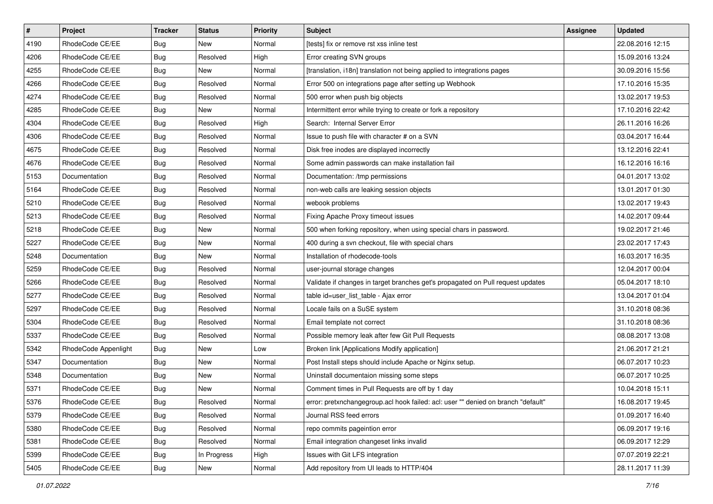| $\pmb{\#}$ | Project              | <b>Tracker</b> | <b>Status</b> | Priority | <b>Subject</b>                                                                    | <b>Assignee</b> | <b>Updated</b>   |
|------------|----------------------|----------------|---------------|----------|-----------------------------------------------------------------------------------|-----------------|------------------|
| 4190       | RhodeCode CE/EE      | <b>Bug</b>     | New           | Normal   | [tests] fix or remove rst xss inline test                                         |                 | 22.08.2016 12:15 |
| 4206       | RhodeCode CE/EE      | <b>Bug</b>     | Resolved      | High     | Error creating SVN groups                                                         |                 | 15.09.2016 13:24 |
| 4255       | RhodeCode CE/EE      | Bug            | New           | Normal   | [translation, i18n] translation not being applied to integrations pages           |                 | 30.09.2016 15:56 |
| 4266       | RhodeCode CE/EE      | <b>Bug</b>     | Resolved      | Normal   | Error 500 on integrations page after setting up Webhook                           |                 | 17.10.2016 15:35 |
| 4274       | RhodeCode CE/EE      | Bug            | Resolved      | Normal   | 500 error when push big objects                                                   |                 | 13.02.2017 19:53 |
| 4285       | RhodeCode CE/EE      | Bug            | New           | Normal   | Intermittent error while trying to create or fork a repository                    |                 | 17.10.2016 22:42 |
| 4304       | RhodeCode CE/EE      | Bug            | Resolved      | High     | Search: Internal Server Error                                                     |                 | 26.11.2016 16:26 |
| 4306       | RhodeCode CE/EE      | Bug            | Resolved      | Normal   | Issue to push file with character # on a SVN                                      |                 | 03.04.2017 16:44 |
| 4675       | RhodeCode CE/EE      | <b>Bug</b>     | Resolved      | Normal   | Disk free inodes are displayed incorrectly                                        |                 | 13.12.2016 22:41 |
| 4676       | RhodeCode CE/EE      | <b>Bug</b>     | Resolved      | Normal   | Some admin passwords can make installation fail                                   |                 | 16.12.2016 16:16 |
| 5153       | Documentation        | Bug            | Resolved      | Normal   | Documentation: /tmp permissions                                                   |                 | 04.01.2017 13:02 |
| 5164       | RhodeCode CE/EE      | Bug            | Resolved      | Normal   | non-web calls are leaking session objects                                         |                 | 13.01.2017 01:30 |
| 5210       | RhodeCode CE/EE      | <b>Bug</b>     | Resolved      | Normal   | webook problems                                                                   |                 | 13.02.2017 19:43 |
| 5213       | RhodeCode CE/EE      | Bug            | Resolved      | Normal   | Fixing Apache Proxy timeout issues                                                |                 | 14.02.2017 09:44 |
| 5218       | RhodeCode CE/EE      | <b>Bug</b>     | New           | Normal   | 500 when forking repository, when using special chars in password.                |                 | 19.02.2017 21:46 |
| 5227       | RhodeCode CE/EE      | Bug            | New           | Normal   | 400 during a svn checkout, file with special chars                                |                 | 23.02.2017 17:43 |
| 5248       | Documentation        | <b>Bug</b>     | New           | Normal   | Installation of rhodecode-tools                                                   |                 | 16.03.2017 16:35 |
| 5259       | RhodeCode CE/EE      | Bug            | Resolved      | Normal   | user-journal storage changes                                                      |                 | 12.04.2017 00:04 |
| 5266       | RhodeCode CE/EE      | <b>Bug</b>     | Resolved      | Normal   | Validate if changes in target branches get's propagated on Pull request updates   |                 | 05.04.2017 18:10 |
| 5277       | RhodeCode CE/EE      | <b>Bug</b>     | Resolved      | Normal   | table id=user_list_table - Ajax error                                             |                 | 13.04.2017 01:04 |
| 5297       | RhodeCode CE/EE      | Bug            | Resolved      | Normal   | Locale fails on a SuSE system                                                     |                 | 31.10.2018 08:36 |
| 5304       | RhodeCode CE/EE      | <b>Bug</b>     | Resolved      | Normal   | Email template not correct                                                        |                 | 31.10.2018 08:36 |
| 5337       | RhodeCode CE/EE      | Bug            | Resolved      | Normal   | Possible memory leak after few Git Pull Requests                                  |                 | 08.08.2017 13:08 |
| 5342       | RhodeCode Appenlight | Bug            | New           | Low      | Broken link [Applications Modify application]                                     |                 | 21.06.2017 21:21 |
| 5347       | Documentation        | <b>Bug</b>     | New           | Normal   | Post Install steps should include Apache or Nginx setup.                          |                 | 06.07.2017 10:23 |
| 5348       | Documentation        | Bug            | New           | Normal   | Uninstall documentaion missing some steps                                         |                 | 06.07.2017 10:25 |
| 5371       | RhodeCode CE/EE      | <b>Bug</b>     | New           | Normal   | Comment times in Pull Requests are off by 1 day                                   |                 | 10.04.2018 15:11 |
| 5376       | RhodeCode CE/EE      | <b>Bug</b>     | Resolved      | Normal   | error: pretxnchangegroup.acl hook failed: acl: user "" denied on branch "default" |                 | 16.08.2017 19:45 |
| 5379       | RhodeCode CE/EE      | Bug            | Resolved      | Normal   | Journal RSS feed errors                                                           |                 | 01.09.2017 16:40 |
| 5380       | RhodeCode CE/EE      | Bug            | Resolved      | Normal   | repo commits pageintion error                                                     |                 | 06.09.2017 19:16 |
| 5381       | RhodeCode CE/EE      | Bug            | Resolved      | Normal   | Email integration changeset links invalid                                         |                 | 06.09.2017 12:29 |
| 5399       | RhodeCode CE/EE      | Bug            | In Progress   | High     | Issues with Git LFS integration                                                   |                 | 07.07.2019 22:21 |
| 5405       | RhodeCode CE/EE      | <b>Bug</b>     | New           | Normal   | Add repository from UI leads to HTTP/404                                          |                 | 28.11.2017 11:39 |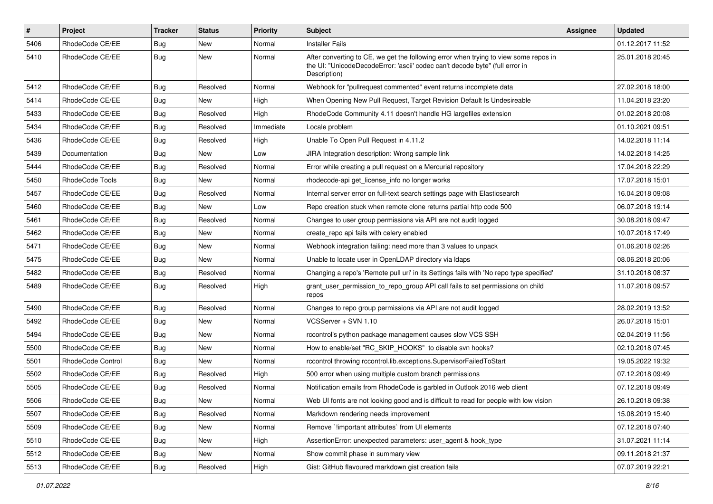| $\pmb{\#}$ | Project                | <b>Tracker</b> | <b>Status</b> | <b>Priority</b> | <b>Subject</b>                                                                                                                                                                       | Assignee | <b>Updated</b>   |
|------------|------------------------|----------------|---------------|-----------------|--------------------------------------------------------------------------------------------------------------------------------------------------------------------------------------|----------|------------------|
| 5406       | RhodeCode CE/EE        | Bug            | New           | Normal          | <b>Installer Fails</b>                                                                                                                                                               |          | 01.12.2017 11:52 |
| 5410       | RhodeCode CE/EE        | Bug            | New           | Normal          | After converting to CE, we get the following error when trying to view some repos in<br>the UI: "UnicodeDecodeError: 'ascii' codec can't decode byte" (full error in<br>Description) |          | 25.01.2018 20:45 |
| 5412       | RhodeCode CE/EE        | Bug            | Resolved      | Normal          | Webhook for "pullrequest commented" event returns incomplete data                                                                                                                    |          | 27.02.2018 18:00 |
| 5414       | RhodeCode CE/EE        | Bug            | New           | High            | When Opening New Pull Request, Target Revision Default Is Undesireable                                                                                                               |          | 11.04.2018 23:20 |
| 5433       | RhodeCode CE/EE        | Bug            | Resolved      | High            | RhodeCode Community 4.11 doesn't handle HG largefiles extension                                                                                                                      |          | 01.02.2018 20:08 |
| 5434       | RhodeCode CE/EE        | Bug            | Resolved      | Immediate       | Locale problem                                                                                                                                                                       |          | 01.10.2021 09:51 |
| 5436       | RhodeCode CE/EE        | Bug            | Resolved      | High            | Unable To Open Pull Request in 4.11.2                                                                                                                                                |          | 14.02.2018 11:14 |
| 5439       | Documentation          | <b>Bug</b>     | <b>New</b>    | Low             | JIRA Integration description: Wrong sample link                                                                                                                                      |          | 14.02.2018 14:25 |
| 5444       | RhodeCode CE/EE        | Bug            | Resolved      | Normal          | Error while creating a pull request on a Mercurial repository                                                                                                                        |          | 17.04.2018 22:29 |
| 5450       | <b>RhodeCode Tools</b> | Bug            | New           | Normal          | rhodecode-api get_license_info no longer works                                                                                                                                       |          | 17.07.2018 15:01 |
| 5457       | RhodeCode CE/EE        | Bug            | Resolved      | Normal          | Internal server error on full-text search settings page with Elasticsearch                                                                                                           |          | 16.04.2018 09:08 |
| 5460       | RhodeCode CE/EE        | Bug            | New           | Low             | Repo creation stuck when remote clone returns partial http code 500                                                                                                                  |          | 06.07.2018 19:14 |
| 5461       | RhodeCode CE/EE        | Bug            | Resolved      | Normal          | Changes to user group permissions via API are not audit logged                                                                                                                       |          | 30.08.2018 09:47 |
| 5462       | RhodeCode CE/EE        | <b>Bug</b>     | New           | Normal          | create repo api fails with celery enabled                                                                                                                                            |          | 10.07.2018 17:49 |
| 5471       | RhodeCode CE/EE        | Bug            | New           | Normal          | Webhook integration failing: need more than 3 values to unpack                                                                                                                       |          | 01.06.2018 02:26 |
| 5475       | RhodeCode CE/EE        | Bug            | <b>New</b>    | Normal          | Unable to locate user in OpenLDAP directory via Idaps                                                                                                                                |          | 08.06.2018 20:06 |
| 5482       | RhodeCode CE/EE        | Bug            | Resolved      | Normal          | Changing a repo's 'Remote pull uri' in its Settings fails with 'No repo type specified'                                                                                              |          | 31.10.2018 08:37 |
| 5489       | RhodeCode CE/EE        | Bug            | Resolved      | High            | grant_user_permission_to_repo_group API call fails to set permissions on child<br>repos                                                                                              |          | 11.07.2018 09:57 |
| 5490       | RhodeCode CE/EE        | Bug            | Resolved      | Normal          | Changes to repo group permissions via API are not audit logged                                                                                                                       |          | 28.02.2019 13:52 |
| 5492       | RhodeCode CE/EE        | <b>Bug</b>     | New           | Normal          | VCSServer + SVN 1.10                                                                                                                                                                 |          | 26.07.2018 15:01 |
| 5494       | RhodeCode CE/EE        | Bug            | New           | Normal          | rccontrol's python package management causes slow VCS SSH                                                                                                                            |          | 02.04.2019 11:56 |
| 5500       | RhodeCode CE/EE        | Bug            | New           | Normal          | How to enable/set "RC_SKIP_HOOKS" to disable svn hooks?                                                                                                                              |          | 02.10.2018 07:45 |
| 5501       | RhodeCode Control      | Bug            | New           | Normal          | rccontrol throwing rccontrol.lib.exceptions.SupervisorFailedToStart                                                                                                                  |          | 19.05.2022 19:32 |
| 5502       | RhodeCode CE/EE        | Bug            | Resolved      | High            | 500 error when using multiple custom branch permissions                                                                                                                              |          | 07.12.2018 09:49 |
| 5505       | RhodeCode CE/EE        | Bug            | Resolved      | Normal          | Notification emails from RhodeCode is garbled in Outlook 2016 web client                                                                                                             |          | 07.12.2018 09:49 |
| 5506       | RhodeCode CE/EE        | Bug            | New           | Normal          | Web UI fonts are not looking good and is difficult to read for people with low vision                                                                                                |          | 26.10.2018 09:38 |
| 5507       | RhodeCode CE/EE        | Bug            | Resolved      | Normal          | Markdown rendering needs improvement                                                                                                                                                 |          | 15.08.2019 15:40 |
| 5509       | RhodeCode CE/EE        | Bug            | New           | Normal          | Remove `!important attributes` from UI elements                                                                                                                                      |          | 07.12.2018 07:40 |
| 5510       | RhodeCode CE/EE        | <b>Bug</b>     | New           | High            | AssertionError: unexpected parameters: user_agent & hook_type                                                                                                                        |          | 31.07.2021 11:14 |
| 5512       | RhodeCode CE/EE        | Bug            | New           | Normal          | Show commit phase in summary view                                                                                                                                                    |          | 09.11.2018 21:37 |
| 5513       | RhodeCode CE/EE        | <b>Bug</b>     | Resolved      | High            | Gist: GitHub flavoured markdown gist creation fails                                                                                                                                  |          | 07.07.2019 22:21 |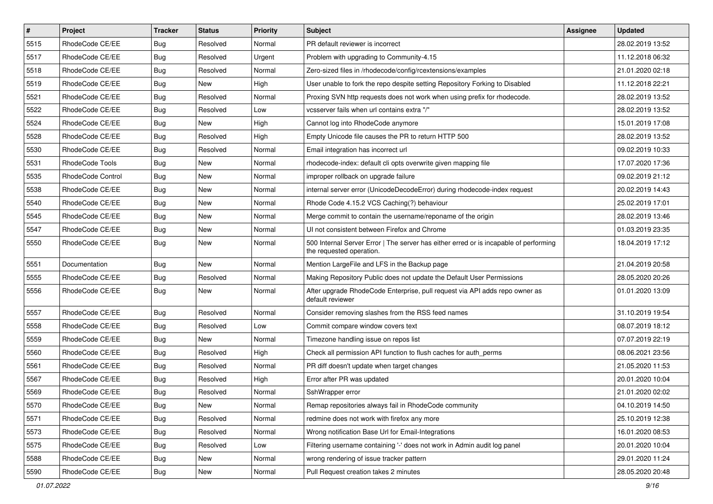| $\pmb{\#}$ | Project           | <b>Tracker</b> | <b>Status</b> | <b>Priority</b> | <b>Subject</b>                                                                                                    | <b>Assignee</b> | <b>Updated</b>   |
|------------|-------------------|----------------|---------------|-----------------|-------------------------------------------------------------------------------------------------------------------|-----------------|------------------|
| 5515       | RhodeCode CE/EE   | <b>Bug</b>     | Resolved      | Normal          | PR default reviewer is incorrect                                                                                  |                 | 28.02.2019 13:52 |
| 5517       | RhodeCode CE/EE   | Bug            | Resolved      | Urgent          | Problem with upgrading to Community-4.15                                                                          |                 | 11.12.2018 06:32 |
| 5518       | RhodeCode CE/EE   | Bug            | Resolved      | Normal          | Zero-sized files in /rhodecode/config/rcextensions/examples                                                       |                 | 21.01.2020 02:18 |
| 5519       | RhodeCode CE/EE   | <b>Bug</b>     | New           | High            | User unable to fork the repo despite setting Repository Forking to Disabled                                       |                 | 11.12.2018 22:21 |
| 5521       | RhodeCode CE/EE   | <b>Bug</b>     | Resolved      | Normal          | Proxing SVN http requests does not work when using prefix for rhodecode.                                          |                 | 28.02.2019 13:52 |
| 5522       | RhodeCode CE/EE   | Bug            | Resolved      | Low             | vcsserver fails when url contains extra "/"                                                                       |                 | 28.02.2019 13:52 |
| 5524       | RhodeCode CE/EE   | Bug            | New           | High            | Cannot log into RhodeCode anymore                                                                                 |                 | 15.01.2019 17:08 |
| 5528       | RhodeCode CE/EE   | <b>Bug</b>     | Resolved      | High            | Empty Unicode file causes the PR to return HTTP 500                                                               |                 | 28.02.2019 13:52 |
| 5530       | RhodeCode CE/EE   | Bug            | Resolved      | Normal          | Email integration has incorrect url                                                                               |                 | 09.02.2019 10:33 |
| 5531       | RhodeCode Tools   | <b>Bug</b>     | New           | Normal          | rhodecode-index: default cli opts overwrite given mapping file                                                    |                 | 17.07.2020 17:36 |
| 5535       | RhodeCode Control | Bug            | New           | Normal          | improper rollback on upgrade failure                                                                              |                 | 09.02.2019 21:12 |
| 5538       | RhodeCode CE/EE   | <b>Bug</b>     | New           | Normal          | internal server error (UnicodeDecodeError) during rhodecode-index request                                         |                 | 20.02.2019 14:43 |
| 5540       | RhodeCode CE/EE   | Bug            | New           | Normal          | Rhode Code 4.15.2 VCS Caching(?) behaviour                                                                        |                 | 25.02.2019 17:01 |
| 5545       | RhodeCode CE/EE   | <b>Bug</b>     | New           | Normal          | Merge commit to contain the username/reponame of the origin                                                       |                 | 28.02.2019 13:46 |
| 5547       | RhodeCode CE/EE   | Bug            | New           | Normal          | UI not consistent between Firefox and Chrome                                                                      |                 | 01.03.2019 23:35 |
| 5550       | RhodeCode CE/EE   | Bug            | New           | Normal          | 500 Internal Server Error   The server has either erred or is incapable of performing<br>the requested operation. |                 | 18.04.2019 17:12 |
| 5551       | Documentation     | <b>Bug</b>     | <b>New</b>    | Normal          | Mention LargeFile and LFS in the Backup page                                                                      |                 | 21.04.2019 20:58 |
| 5555       | RhodeCode CE/EE   | Bug            | Resolved      | Normal          | Making Repository Public does not update the Default User Permissions                                             |                 | 28.05.2020 20:26 |
| 5556       | RhodeCode CE/EE   | Bug            | New           | Normal          | After upgrade RhodeCode Enterprise, pull request via API adds repo owner as<br>default reviewer                   |                 | 01.01.2020 13:09 |
| 5557       | RhodeCode CE/EE   | Bug            | Resolved      | Normal          | Consider removing slashes from the RSS feed names                                                                 |                 | 31.10.2019 19:54 |
| 5558       | RhodeCode CE/EE   | <b>Bug</b>     | Resolved      | Low             | Commit compare window covers text                                                                                 |                 | 08.07.2019 18:12 |
| 5559       | RhodeCode CE/EE   | Bug            | New           | Normal          | Timezone handling issue on repos list                                                                             |                 | 07.07.2019 22:19 |
| 5560       | RhodeCode CE/EE   | <b>Bug</b>     | Resolved      | High            | Check all permission API function to flush caches for auth perms                                                  |                 | 08.06.2021 23:56 |
| 5561       | RhodeCode CE/EE   | <b>Bug</b>     | Resolved      | Normal          | PR diff doesn't update when target changes                                                                        |                 | 21.05.2020 11:53 |
| 5567       | RhodeCode CE/EE   | Bug            | Resolved      | High            | Error after PR was updated                                                                                        |                 | 20.01.2020 10:04 |
| 5569       | RhodeCode CE/EE   | Bug            | Resolved      | Normal          | SshWrapper error                                                                                                  |                 | 21.01.2020 02:02 |
| 5570       | RhodeCode CE/EE   | <b>Bug</b>     | New           | Normal          | Remap repositories always fail in RhodeCode community                                                             |                 | 04.10.2019 14:50 |
| 5571       | RhodeCode CE/EE   | Bug            | Resolved      | Normal          | redmine does not work with firefox any more                                                                       |                 | 25.10.2019 12:38 |
| 5573       | RhodeCode CE/EE   | Bug            | Resolved      | Normal          | Wrong notification Base Url for Email-Integrations                                                                |                 | 16.01.2020 08:53 |
| 5575       | RhodeCode CE/EE   | <b>Bug</b>     | Resolved      | Low             | Filtering username containing '-' does not work in Admin audit log panel                                          |                 | 20.01.2020 10:04 |
| 5588       | RhodeCode CE/EE   | <b>Bug</b>     | New           | Normal          | wrong rendering of issue tracker pattern                                                                          |                 | 29.01.2020 11:24 |
| 5590       | RhodeCode CE/EE   | <b>Bug</b>     | New           | Normal          | Pull Request creation takes 2 minutes                                                                             |                 | 28.05.2020 20:48 |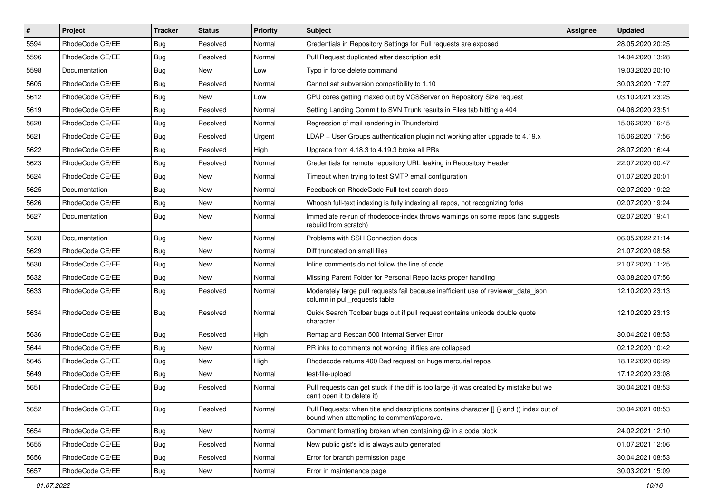| $\vert$ # | Project         | <b>Tracker</b> | <b>Status</b> | Priority | <b>Subject</b>                                                                                                                       | <b>Assignee</b> | <b>Updated</b>   |
|-----------|-----------------|----------------|---------------|----------|--------------------------------------------------------------------------------------------------------------------------------------|-----------------|------------------|
| 5594      | RhodeCode CE/EE | Bug            | Resolved      | Normal   | Credentials in Repository Settings for Pull requests are exposed                                                                     |                 | 28.05.2020 20:25 |
| 5596      | RhodeCode CE/EE | Bug            | Resolved      | Normal   | Pull Request duplicated after description edit                                                                                       |                 | 14.04.2020 13:28 |
| 5598      | Documentation   | Bug            | New           | Low      | Typo in force delete command                                                                                                         |                 | 19.03.2020 20:10 |
| 5605      | RhodeCode CE/EE | Bug            | Resolved      | Normal   | Cannot set subversion compatibility to 1.10                                                                                          |                 | 30.03.2020 17:27 |
| 5612      | RhodeCode CE/EE | <b>Bug</b>     | <b>New</b>    | Low      | CPU cores getting maxed out by VCSServer on Repository Size request                                                                  |                 | 03.10.2021 23:25 |
| 5619      | RhodeCode CE/EE | Bug            | Resolved      | Normal   | Setting Landing Commit to SVN Trunk results in Files tab hitting a 404                                                               |                 | 04.06.2020 23:51 |
| 5620      | RhodeCode CE/EE | Bug            | Resolved      | Normal   | Regression of mail rendering in Thunderbird                                                                                          |                 | 15.06.2020 16:45 |
| 5621      | RhodeCode CE/EE | Bug            | Resolved      | Urgent   | $LDAP + User Groups authentication playing not working after upgrade to 4.19.x$                                                      |                 | 15.06.2020 17:56 |
| 5622      | RhodeCode CE/EE | Bug            | Resolved      | High     | Upgrade from 4.18.3 to 4.19.3 broke all PRs                                                                                          |                 | 28.07.2020 16:44 |
| 5623      | RhodeCode CE/EE | Bug            | Resolved      | Normal   | Credentials for remote repository URL leaking in Repository Header                                                                   |                 | 22.07.2020 00:47 |
| 5624      | RhodeCode CE/EE | Bug            | New           | Normal   | Timeout when trying to test SMTP email configuration                                                                                 |                 | 01.07.2020 20:01 |
| 5625      | Documentation   | Bug            | New           | Normal   | Feedback on RhodeCode Full-text search docs                                                                                          |                 | 02.07.2020 19:22 |
| 5626      | RhodeCode CE/EE | Bug            | <b>New</b>    | Normal   | Whoosh full-text indexing is fully indexing all repos, not recognizing forks                                                         |                 | 02.07.2020 19:24 |
| 5627      | Documentation   | Bug            | New           | Normal   | Immediate re-run of rhodecode-index throws warnings on some repos (and suggests<br>rebuild from scratch)                             |                 | 02.07.2020 19:41 |
| 5628      | Documentation   | Bug            | New           | Normal   | Problems with SSH Connection docs                                                                                                    |                 | 06.05.2022 21:14 |
| 5629      | RhodeCode CE/EE | Bug            | New           | Normal   | Diff truncated on small files                                                                                                        |                 | 21.07.2020 08:58 |
| 5630      | RhodeCode CE/EE | Bug            | <b>New</b>    | Normal   | Inline comments do not follow the line of code                                                                                       |                 | 21.07.2020 11:25 |
| 5632      | RhodeCode CE/EE | Bug            | New           | Normal   | Missing Parent Folder for Personal Repo lacks proper handling                                                                        |                 | 03.08.2020 07:56 |
| 5633      | RhodeCode CE/EE | Bug            | Resolved      | Normal   | Moderately large pull requests fail because inefficient use of reviewer_data_json<br>column in pull requests table                   |                 | 12.10.2020 23:13 |
| 5634      | RhodeCode CE/EE | Bug            | Resolved      | Normal   | Quick Search Toolbar bugs out if pull request contains unicode double quote<br>character "                                           |                 | 12.10.2020 23:13 |
| 5636      | RhodeCode CE/EE | Bug            | Resolved      | High     | Remap and Rescan 500 Internal Server Error                                                                                           |                 | 30.04.2021 08:53 |
| 5644      | RhodeCode CE/EE | Bug            | <b>New</b>    | Normal   | PR inks to comments not working if files are collapsed                                                                               |                 | 02.12.2020 10:42 |
| 5645      | RhodeCode CE/EE | <b>Bug</b>     | <b>New</b>    | High     | Rhodecode returns 400 Bad request on huge mercurial repos                                                                            |                 | 18.12.2020 06:29 |
| 5649      | RhodeCode CE/EE | Bug            | New           | Normal   | test-file-upload                                                                                                                     |                 | 17.12.2020 23:08 |
| 5651      | RhodeCode CE/EE | Bug            | Resolved      | Normal   | Pull requests can get stuck if the diff is too large (it was created by mistake but we<br>can't open it to delete it)                |                 | 30.04.2021 08:53 |
| 5652      | RhodeCode CE/EE | <b>Bug</b>     | Resolved      | Normal   | Pull Requests: when title and descriptions contains character [] {} and () index out of<br>bound when attempting to comment/approve. |                 | 30.04.2021 08:53 |
| 5654      | RhodeCode CE/EE | Bug            | New           | Normal   | Comment formatting broken when containing @ in a code block                                                                          |                 | 24.02.2021 12:10 |
| 5655      | RhodeCode CE/EE | Bug            | Resolved      | Normal   | New public gist's id is always auto generated                                                                                        |                 | 01.07.2021 12:06 |
| 5656      | RhodeCode CE/EE | <b>Bug</b>     | Resolved      | Normal   | Error for branch permission page                                                                                                     |                 | 30.04.2021 08:53 |
| 5657      | RhodeCode CE/EE | Bug            | New           | Normal   | Error in maintenance page                                                                                                            |                 | 30.03.2021 15:09 |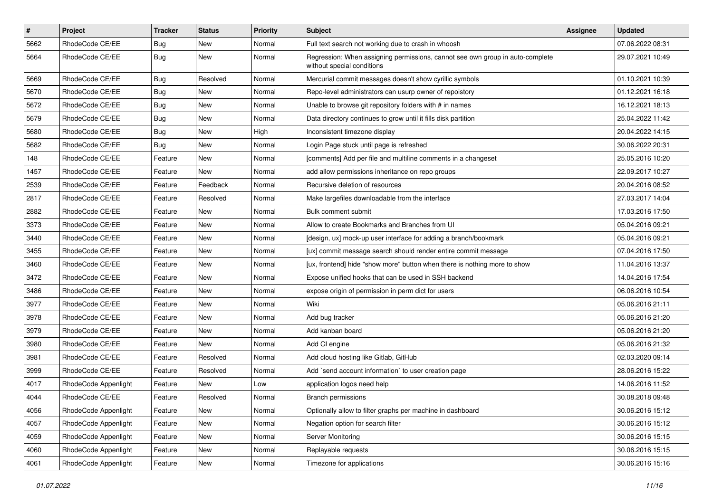| $\pmb{\#}$ | <b>Project</b>       | <b>Tracker</b> | <b>Status</b> | <b>Priority</b> | Subject                                                                                                     | Assignee | <b>Updated</b>   |
|------------|----------------------|----------------|---------------|-----------------|-------------------------------------------------------------------------------------------------------------|----------|------------------|
| 5662       | RhodeCode CE/EE      | Bug            | New           | Normal          | Full text search not working due to crash in whoosh                                                         |          | 07.06.2022 08:31 |
| 5664       | RhodeCode CE/EE      | Bug            | <b>New</b>    | Normal          | Regression: When assigning permissions, cannot see own group in auto-complete<br>without special conditions |          | 29.07.2021 10:49 |
| 5669       | RhodeCode CE/EE      | Bug            | Resolved      | Normal          | Mercurial commit messages doesn't show cyrillic symbols                                                     |          | 01.10.2021 10:39 |
| 5670       | RhodeCode CE/EE      | Bug            | <b>New</b>    | Normal          | Repo-level administrators can usurp owner of repoistory                                                     |          | 01.12.2021 16:18 |
| 5672       | RhodeCode CE/EE      | <b>Bug</b>     | New           | Normal          | Unable to browse git repository folders with # in names                                                     |          | 16.12.2021 18:13 |
| 5679       | RhodeCode CE/EE      | Bug            | <b>New</b>    | Normal          | Data directory continues to grow until it fills disk partition                                              |          | 25.04.2022 11:42 |
| 5680       | RhodeCode CE/EE      | Bug            | New           | High            | Inconsistent timezone display                                                                               |          | 20.04.2022 14:15 |
| 5682       | RhodeCode CE/EE      | <b>Bug</b>     | <b>New</b>    | Normal          | Login Page stuck until page is refreshed                                                                    |          | 30.06.2022 20:31 |
| 148        | RhodeCode CE/EE      | Feature        | <b>New</b>    | Normal          | [comments] Add per file and multiline comments in a changeset                                               |          | 25.05.2016 10:20 |
| 1457       | RhodeCode CE/EE      | Feature        | <b>New</b>    | Normal          | add allow permissions inheritance on repo groups                                                            |          | 22.09.2017 10:27 |
| 2539       | RhodeCode CE/EE      | Feature        | Feedback      | Normal          | Recursive deletion of resources                                                                             |          | 20.04.2016 08:52 |
| 2817       | RhodeCode CE/EE      | Feature        | Resolved      | Normal          | Make largefiles downloadable from the interface                                                             |          | 27.03.2017 14:04 |
| 2882       | RhodeCode CE/EE      | Feature        | <b>New</b>    | Normal          | Bulk comment submit                                                                                         |          | 17.03.2016 17:50 |
| 3373       | RhodeCode CE/EE      | Feature        | <b>New</b>    | Normal          | Allow to create Bookmarks and Branches from UI                                                              |          | 05.04.2016 09:21 |
| 3440       | RhodeCode CE/EE      | Feature        | New           | Normal          | [design, ux] mock-up user interface for adding a branch/bookmark                                            |          | 05.04.2016 09:21 |
| 3455       | RhodeCode CE/EE      | Feature        | New           | Normal          | [ux] commit message search should render entire commit message                                              |          | 07.04.2016 17:50 |
| 3460       | RhodeCode CE/EE      | Feature        | <b>New</b>    | Normal          | [ux, frontend] hide "show more" button when there is nothing more to show                                   |          | 11.04.2016 13:37 |
| 3472       | RhodeCode CE/EE      | Feature        | New           | Normal          | Expose unified hooks that can be used in SSH backend                                                        |          | 14.04.2016 17:54 |
| 3486       | RhodeCode CE/EE      | Feature        | <b>New</b>    | Normal          | expose origin of permission in perm dict for users                                                          |          | 06.06.2016 10:54 |
| 3977       | RhodeCode CE/EE      | Feature        | New           | Normal          | Wiki                                                                                                        |          | 05.06.2016 21:11 |
| 3978       | RhodeCode CE/EE      | Feature        | <b>New</b>    | Normal          | Add bug tracker                                                                                             |          | 05.06.2016 21:20 |
| 3979       | RhodeCode CE/EE      | Feature        | <b>New</b>    | Normal          | Add kanban board                                                                                            |          | 05.06.2016 21:20 |
| 3980       | RhodeCode CE/EE      | Feature        | <b>New</b>    | Normal          | Add CI engine                                                                                               |          | 05.06.2016 21:32 |
| 3981       | RhodeCode CE/EE      | Feature        | Resolved      | Normal          | Add cloud hosting like Gitlab, GitHub                                                                       |          | 02.03.2020 09:14 |
| 3999       | RhodeCode CE/EE      | Feature        | Resolved      | Normal          | Add `send account information` to user creation page                                                        |          | 28.06.2016 15:22 |
| 4017       | RhodeCode Appenlight | Feature        | <b>New</b>    | Low             | application logos need help                                                                                 |          | 14.06.2016 11:52 |
| 4044       | RhodeCode CE/EE      | Feature        | Resolved      | Normal          | <b>Branch permissions</b>                                                                                   |          | 30.08.2018 09:48 |
| 4056       | RhodeCode Appenlight | Feature        | New           | Normal          | Optionally allow to filter graphs per machine in dashboard                                                  |          | 30.06.2016 15:12 |
| 4057       | RhodeCode Appenlight | Feature        | New           | Normal          | Negation option for search filter                                                                           |          | 30.06.2016 15:12 |
| 4059       | RhodeCode Appenlight | Feature        | New           | Normal          | Server Monitoring                                                                                           |          | 30.06.2016 15:15 |
| 4060       | RhodeCode Appenlight | Feature        | New           | Normal          | Replayable requests                                                                                         |          | 30.06.2016 15:15 |
| 4061       | RhodeCode Appenlight | Feature        | New           | Normal          | Timezone for applications                                                                                   |          | 30.06.2016 15:16 |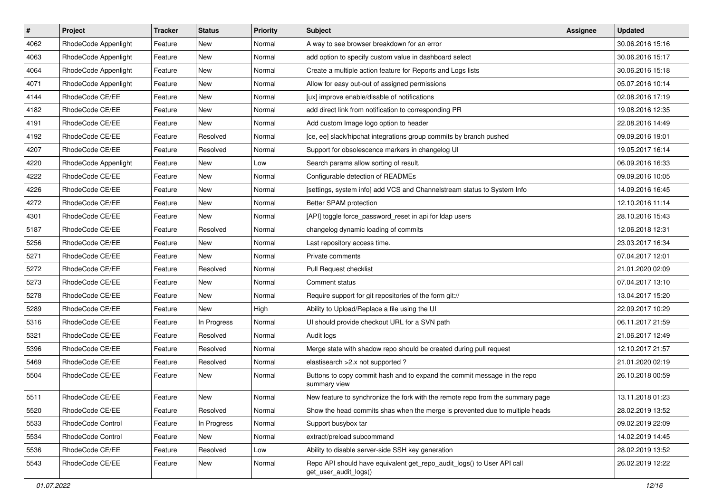| $\vert$ # | Project              | <b>Tracker</b> | <b>Status</b> | <b>Priority</b> | <b>Subject</b>                                                                                  | <b>Assignee</b> | <b>Updated</b>   |
|-----------|----------------------|----------------|---------------|-----------------|-------------------------------------------------------------------------------------------------|-----------------|------------------|
| 4062      | RhodeCode Appenlight | Feature        | New           | Normal          | A way to see browser breakdown for an error                                                     |                 | 30.06.2016 15:16 |
| 4063      | RhodeCode Appenlight | Feature        | New           | Normal          | add option to specify custom value in dashboard select                                          |                 | 30.06.2016 15:17 |
| 4064      | RhodeCode Appenlight | Feature        | New           | Normal          | Create a multiple action feature for Reports and Logs lists                                     |                 | 30.06.2016 15:18 |
| 4071      | RhodeCode Appenlight | Feature        | New           | Normal          | Allow for easy out-out of assigned permissions                                                  |                 | 05.07.2016 10:14 |
| 4144      | RhodeCode CE/EE      | Feature        | New           | Normal          | [ux] improve enable/disable of notifications                                                    |                 | 02.08.2016 17:19 |
| 4182      | RhodeCode CE/EE      | Feature        | New           | Normal          | add direct link from notification to corresponding PR                                           |                 | 19.08.2016 12:35 |
| 4191      | RhodeCode CE/EE      | Feature        | New           | Normal          | Add custom Image logo option to header                                                          |                 | 22.08.2016 14:49 |
| 4192      | RhodeCode CE/EE      | Feature        | Resolved      | Normal          | [ce, ee] slack/hipchat integrations group commits by branch pushed                              |                 | 09.09.2016 19:01 |
| 4207      | RhodeCode CE/EE      | Feature        | Resolved      | Normal          | Support for obsolescence markers in changelog UI                                                |                 | 19.05.2017 16:14 |
| 4220      | RhodeCode Appenlight | Feature        | New           | Low             | Search params allow sorting of result.                                                          |                 | 06.09.2016 16:33 |
| 4222      | RhodeCode CE/EE      | Feature        | New           | Normal          | Configurable detection of READMEs                                                               |                 | 09.09.2016 10:05 |
| 4226      | RhodeCode CE/EE      | Feature        | New           | Normal          | [settings, system info] add VCS and Channelstream status to System Info                         |                 | 14.09.2016 16:45 |
| 4272      | RhodeCode CE/EE      | Feature        | New           | Normal          | Better SPAM protection                                                                          |                 | 12.10.2016 11:14 |
| 4301      | RhodeCode CE/EE      | Feature        | New           | Normal          | [API] toggle force_password_reset in api for Idap users                                         |                 | 28.10.2016 15:43 |
| 5187      | RhodeCode CE/EE      | Feature        | Resolved      | Normal          | changelog dynamic loading of commits                                                            |                 | 12.06.2018 12:31 |
| 5256      | RhodeCode CE/EE      | Feature        | New           | Normal          | Last repository access time.                                                                    |                 | 23.03.2017 16:34 |
| 5271      | RhodeCode CE/EE      | Feature        | New           | Normal          | Private comments                                                                                |                 | 07.04.2017 12:01 |
| 5272      | RhodeCode CE/EE      | Feature        | Resolved      | Normal          | Pull Request checklist                                                                          |                 | 21.01.2020 02:09 |
| 5273      | RhodeCode CE/EE      | Feature        | New           | Normal          | Comment status                                                                                  |                 | 07.04.2017 13:10 |
| 5278      | RhodeCode CE/EE      | Feature        | New           | Normal          | Require support for git repositories of the form git://                                         |                 | 13.04.2017 15:20 |
| 5289      | RhodeCode CE/EE      | Feature        | New           | High            | Ability to Upload/Replace a file using the UI                                                   |                 | 22.09.2017 10:29 |
| 5316      | RhodeCode CE/EE      | Feature        | In Progress   | Normal          | UI should provide checkout URL for a SVN path                                                   |                 | 06.11.2017 21:59 |
| 5321      | RhodeCode CE/EE      | Feature        | Resolved      | Normal          | Audit logs                                                                                      |                 | 21.06.2017 12:49 |
| 5396      | RhodeCode CE/EE      | Feature        | Resolved      | Normal          | Merge state with shadow repo should be created during pull request                              |                 | 12.10.2017 21:57 |
| 5469      | RhodeCode CE/EE      | Feature        | Resolved      | Normal          | elastisearch > 2.x not supported?                                                               |                 | 21.01.2020 02:19 |
| 5504      | RhodeCode CE/EE      | Feature        | New           | Normal          | Buttons to copy commit hash and to expand the commit message in the repo<br>summary view        |                 | 26.10.2018 00:59 |
| 5511      | RhodeCode CE/EE      | Feature        | New           | Normal          | New feature to synchronize the fork with the remote repo from the summary page                  |                 | 13.11.2018 01:23 |
| 5520      | RhodeCode CE/EE      | Feature        | Resolved      | Normal          | Show the head commits shas when the merge is prevented due to multiple heads                    |                 | 28.02.2019 13:52 |
| 5533      | RhodeCode Control    | Feature        | In Progress   | Normal          | Support busybox tar                                                                             |                 | 09.02.2019 22:09 |
| 5534      | RhodeCode Control    | Feature        | New           | Normal          | extract/preload subcommand                                                                      |                 | 14.02.2019 14:45 |
| 5536      | RhodeCode CE/EE      | Feature        | Resolved      | Low             | Ability to disable server-side SSH key generation                                               |                 | 28.02.2019 13:52 |
| 5543      | RhodeCode CE/EE      | Feature        | New           | Normal          | Repo API should have equivalent get_repo_audit_logs() to User API call<br>get_user_audit_logs() |                 | 26.02.2019 12:22 |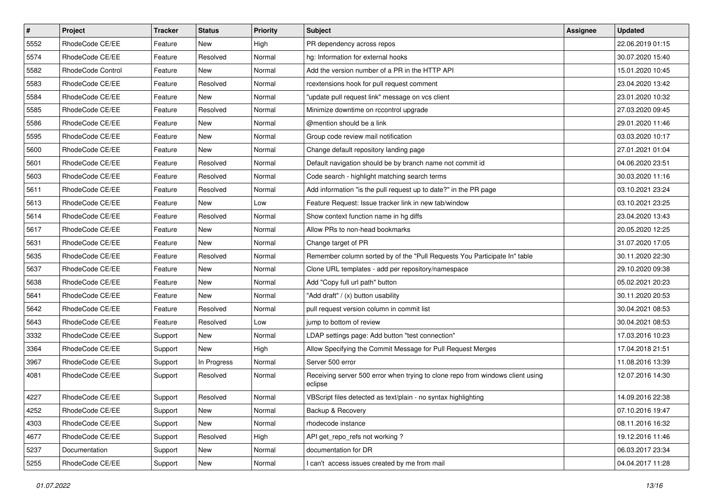| $\vert$ # | Project              | <b>Tracker</b> | <b>Status</b> | <b>Priority</b> | <b>Subject</b>                                                                            | <b>Assignee</b> | <b>Updated</b>   |
|-----------|----------------------|----------------|---------------|-----------------|-------------------------------------------------------------------------------------------|-----------------|------------------|
| 5552      | RhodeCode CE/EE      | Feature        | New           | High            | PR dependency across repos                                                                |                 | 22.06.2019 01:15 |
| 5574      | RhodeCode CE/EE      | Feature        | Resolved      | Normal          | hg: Information for external hooks                                                        |                 | 30.07.2020 15:40 |
| 5582      | RhodeCode Control    | Feature        | New           | Normal          | Add the version number of a PR in the HTTP API                                            |                 | 15.01.2020 10:45 |
| 5583      | RhodeCode CE/EE      | Feature        | Resolved      | Normal          | rcextensions hook for pull request comment                                                |                 | 23.04.2020 13:42 |
| 5584      | RhodeCode CE/EE      | Feature        | New           | Normal          | "update pull request link" message on vcs client                                          |                 | 23.01.2020 10:32 |
| 5585      | RhodeCode CE/EE      | Feature        | Resolved      | Normal          | Minimize downtime on rccontrol upgrade                                                    |                 | 27.03.2020 09:45 |
| 5586      | RhodeCode CE/EE      | Feature        | New           | Normal          | @mention should be a link                                                                 |                 | 29.01.2020 11:46 |
| 5595      | RhodeCode CE/EE      | Feature        | New           | Normal          | Group code review mail notification                                                       |                 | 03.03.2020 10:17 |
| 5600      | RhodeCode CE/EE      | Feature        | <b>New</b>    | Normal          | Change default repository landing page                                                    |                 | 27.01.2021 01:04 |
| 5601      | RhodeCode CE/EE      | Feature        | Resolved      | Normal          | Default navigation should be by branch name not commit id                                 |                 | 04.06.2020 23:51 |
| 5603      | RhodeCode CE/EE      | Feature        | Resolved      | Normal          | Code search - highlight matching search terms                                             |                 | 30.03.2020 11:16 |
| 5611      | RhodeCode CE/EE      | Feature        | Resolved      | Normal          | Add information "is the pull request up to date?" in the PR page                          |                 | 03.10.2021 23:24 |
| 5613      | RhodeCode CE/EE      | Feature        | <b>New</b>    | Low             | Feature Request: Issue tracker link in new tab/window                                     |                 | 03.10.2021 23:25 |
| 5614      | RhodeCode CE/EE      | Feature        | Resolved      | Normal          | Show context function name in hq diffs                                                    |                 | 23.04.2020 13:43 |
| 5617      | RhodeCode CE/EE      | Feature        | <b>New</b>    | Normal          | Allow PRs to non-head bookmarks                                                           |                 | 20.05.2020 12:25 |
| 5631      | RhodeCode CE/EE      | Feature        | New           | Normal          | Change target of PR                                                                       |                 | 31.07.2020 17:05 |
| 5635      | RhodeCode CE/EE      | Feature        | Resolved      | Normal          | Remember column sorted by of the "Pull Requests You Participate In" table                 |                 | 30.11.2020 22:30 |
| 5637      | RhodeCode CE/EE      | Feature        | New           | Normal          | Clone URL templates - add per repository/namespace                                        |                 | 29.10.2020 09:38 |
| 5638      | RhodeCode CE/EE      | Feature        | New           | Normal          | Add "Copy full url path" button                                                           |                 | 05.02.2021 20:23 |
| 5641      | RhodeCode CE/EE      | Feature        | <b>New</b>    | Normal          | "Add draft" / (x) button usability                                                        |                 | 30.11.2020 20:53 |
| 5642      | RhodeCode CE/EE      | Feature        | Resolved      | Normal          | pull request version column in commit list                                                |                 | 30.04.2021 08:53 |
| 5643      | RhodeCode CE/EE      | Feature        | Resolved      | Low             | jump to bottom of review                                                                  |                 | 30.04.2021 08:53 |
| 3332      | RhodeCode CE/EE      | Support        | New           | Normal          | LDAP settings page: Add button "test connection"                                          |                 | 17.03.2016 10:23 |
| 3364      | RhodeCode CE/EE      | Support        | <b>New</b>    | High            | Allow Specifying the Commit Message for Pull Request Merges                               |                 | 17.04.2018 21:51 |
| 3967      | RhodeCode CE/EE      | Support        | In Progress   | Normal          | Server 500 error                                                                          |                 | 11.08.2016 13:39 |
| 4081      | RhodeCode CE/EE      | Support        | Resolved      | Normal          | Receiving server 500 error when trying to clone repo from windows client using<br>eclipse |                 | 12.07.2016 14:30 |
| 4227      | RhodeCode CE/EE      | Support        | Resolved      | Normal          | VBScript files detected as text/plain - no syntax highlighting                            |                 | 14.09.2016 22:38 |
| 4252      | RhodeCode CE/EE      | Support        | New           | Normal          | Backup & Recovery                                                                         |                 | 07.10.2016 19:47 |
| 4303      | RhodeCode CE/EE      | Support        | New           | Normal          | rhodecode instance                                                                        |                 | 08.11.2016 16:32 |
| 4677      | RhodeCode CE/EE      | Support        | Resolved      | High            | API get repo refs not working?                                                            |                 | 19.12.2016 11:46 |
| 5237      | <b>Documentation</b> | Support        | New           | Normal          | documentation for DR                                                                      |                 | 06.03.2017 23:34 |
| 5255      | RhodeCode CE/EE      | Support        | New           | Normal          | I can't access issues created by me from mail                                             |                 | 04.04.2017 11:28 |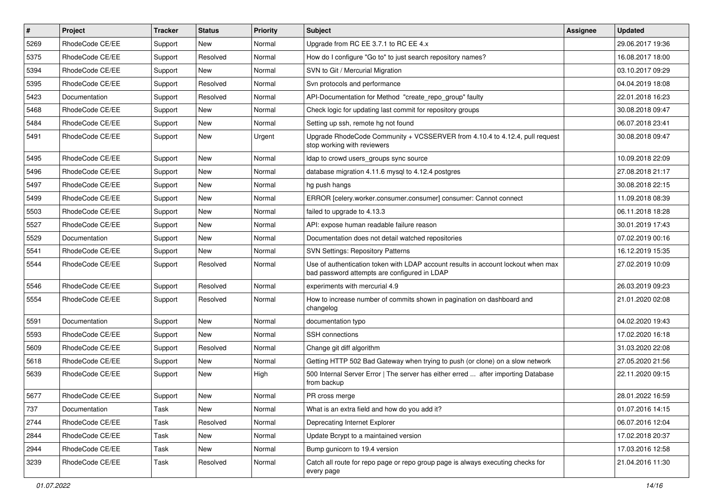| $\vert$ # | Project         | <b>Tracker</b> | <b>Status</b> | <b>Priority</b> | Subject                                                                                                                           | <b>Assignee</b> | <b>Updated</b>   |
|-----------|-----------------|----------------|---------------|-----------------|-----------------------------------------------------------------------------------------------------------------------------------|-----------------|------------------|
| 5269      | RhodeCode CE/EE | Support        | New           | Normal          | Upgrade from RC EE 3.7.1 to RC EE 4.x                                                                                             |                 | 29.06.2017 19:36 |
| 5375      | RhodeCode CE/EE | Support        | Resolved      | Normal          | How do I configure "Go to" to just search repository names?                                                                       |                 | 16.08.2017 18:00 |
| 5394      | RhodeCode CE/EE | Support        | New           | Normal          | SVN to Git / Mercurial Migration                                                                                                  |                 | 03.10.2017 09:29 |
| 5395      | RhodeCode CE/EE | Support        | Resolved      | Normal          | Svn protocols and performance                                                                                                     |                 | 04.04.2019 18:08 |
| 5423      | Documentation   | Support        | Resolved      | Normal          | API-Documentation for Method "create_repo_group" faulty                                                                           |                 | 22.01.2018 16:23 |
| 5468      | RhodeCode CE/EE | Support        | New           | Normal          | Check logic for updating last commit for repository groups                                                                        |                 | 30.08.2018 09:47 |
| 5484      | RhodeCode CE/EE | Support        | New           | Normal          | Setting up ssh, remote hg not found                                                                                               |                 | 06.07.2018 23:41 |
| 5491      | RhodeCode CE/EE | Support        | New           | Urgent          | Upgrade RhodeCode Community + VCSSERVER from 4.10.4 to 4.12.4, pull request<br>stop working with reviewers                        |                 | 30.08.2018 09:47 |
| 5495      | RhodeCode CE/EE | Support        | <b>New</b>    | Normal          | Idap to crowd users_groups sync source                                                                                            |                 | 10.09.2018 22:09 |
| 5496      | RhodeCode CE/EE | Support        | New           | Normal          | database migration 4.11.6 mysql to 4.12.4 postgres                                                                                |                 | 27.08.2018 21:17 |
| 5497      | RhodeCode CE/EE | Support        | New           | Normal          | hg push hangs                                                                                                                     |                 | 30.08.2018 22:15 |
| 5499      | RhodeCode CE/EE | Support        | New           | Normal          | ERROR [celery.worker.consumer.consumer] consumer: Cannot connect                                                                  |                 | 11.09.2018 08:39 |
| 5503      | RhodeCode CE/EE | Support        | New           | Normal          | failed to upgrade to 4.13.3                                                                                                       |                 | 06.11.2018 18:28 |
| 5527      | RhodeCode CE/EE | Support        | New           | Normal          | API: expose human readable failure reason                                                                                         |                 | 30.01.2019 17:43 |
| 5529      | Documentation   | Support        | New           | Normal          | Documentation does not detail watched repositories                                                                                |                 | 07.02.2019 00:16 |
| 5541      | RhodeCode CE/EE | Support        | New           | Normal          | <b>SVN Settings: Repository Patterns</b>                                                                                          |                 | 16.12.2019 15:35 |
| 5544      | RhodeCode CE/EE | Support        | Resolved      | Normal          | Use of authentication token with LDAP account results in account lockout when max<br>bad password attempts are configured in LDAP |                 | 27.02.2019 10:09 |
| 5546      | RhodeCode CE/EE | Support        | Resolved      | Normal          | experiments with mercurial 4.9                                                                                                    |                 | 26.03.2019 09:23 |
| 5554      | RhodeCode CE/EE | Support        | Resolved      | Normal          | How to increase number of commits shown in pagination on dashboard and<br>changelog                                               |                 | 21.01.2020 02:08 |
| 5591      | Documentation   | Support        | New           | Normal          | documentation typo                                                                                                                |                 | 04.02.2020 19:43 |
| 5593      | RhodeCode CE/EE | Support        | <b>New</b>    | Normal          | <b>SSH</b> connections                                                                                                            |                 | 17.02.2020 16:18 |
| 5609      | RhodeCode CE/EE | Support        | Resolved      | Normal          | Change git diff algorithm                                                                                                         |                 | 31.03.2020 22:08 |
| 5618      | RhodeCode CE/EE | Support        | New           | Normal          | Getting HTTP 502 Bad Gateway when trying to push (or clone) on a slow network                                                     |                 | 27.05.2020 21:56 |
| 5639      | RhodeCode CE/EE | Support        | New           | High            | 500 Internal Server Error   The server has either erred  after importing Database<br>from backup                                  |                 | 22.11.2020 09:15 |
| 5677      | RhodeCode CE/EE | Support        | New           | Normal          | PR cross merge                                                                                                                    |                 | 28.01.2022 16:59 |
| 737       | Documentation   | Task           | New           | Normal          | What is an extra field and how do you add it?                                                                                     |                 | 01.07.2016 14:15 |
| 2744      | RhodeCode CE/EE | Task           | Resolved      | Normal          | Deprecating Internet Explorer                                                                                                     |                 | 06.07.2016 12:04 |
| 2844      | RhodeCode CE/EE | Task           | New           | Normal          | Update Bcrypt to a maintained version                                                                                             |                 | 17.02.2018 20:37 |
| 2944      | RhodeCode CE/EE | Task           | New           | Normal          | Bump gunicorn to 19.4 version                                                                                                     |                 | 17.03.2016 12:58 |
| 3239      | RhodeCode CE/EE | Task           | Resolved      | Normal          | Catch all route for repo page or repo group page is always executing checks for<br>every page                                     |                 | 21.04.2016 11:30 |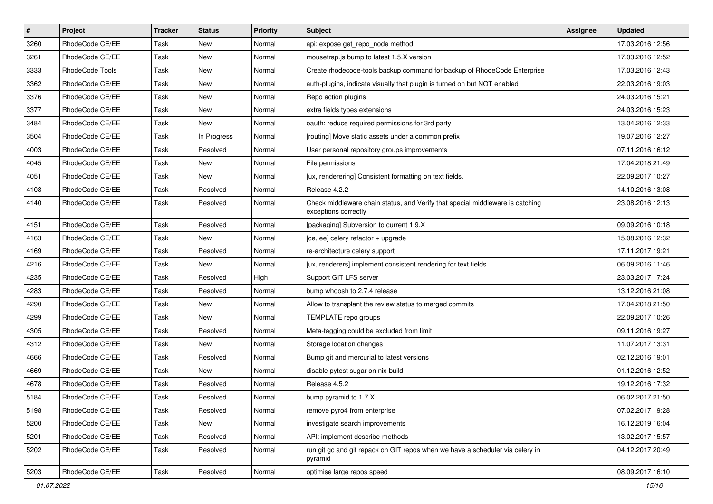| $\sharp$ | Project         | <b>Tracker</b> | <b>Status</b> | Priority | <b>Subject</b>                                                                                        | <b>Assignee</b> | <b>Updated</b>   |
|----------|-----------------|----------------|---------------|----------|-------------------------------------------------------------------------------------------------------|-----------------|------------------|
| 3260     | RhodeCode CE/EE | Task           | New           | Normal   | api: expose get_repo_node method                                                                      |                 | 17.03.2016 12:56 |
| 3261     | RhodeCode CE/EE | Task           | <b>New</b>    | Normal   | mousetrap.js bump to latest 1.5.X version                                                             |                 | 17.03.2016 12:52 |
| 3333     | RhodeCode Tools | Task           | New           | Normal   | Create rhodecode-tools backup command for backup of RhodeCode Enterprise                              |                 | 17.03.2016 12:43 |
| 3362     | RhodeCode CE/EE | Task           | New           | Normal   | auth-plugins, indicate visually that plugin is turned on but NOT enabled                              |                 | 22.03.2016 19:03 |
| 3376     | RhodeCode CE/EE | Task           | <b>New</b>    | Normal   | Repo action plugins                                                                                   |                 | 24.03.2016 15:21 |
| 3377     | RhodeCode CE/EE | Task           | New           | Normal   | extra fields types extensions                                                                         |                 | 24.03.2016 15:23 |
| 3484     | RhodeCode CE/EE | Task           | New           | Normal   | oauth: reduce required permissions for 3rd party                                                      |                 | 13.04.2016 12:33 |
| 3504     | RhodeCode CE/EE | Task           | In Progress   | Normal   | [routing] Move static assets under a common prefix                                                    |                 | 19.07.2016 12:27 |
| 4003     | RhodeCode CE/EE | Task           | Resolved      | Normal   | User personal repository groups improvements                                                          |                 | 07.11.2016 16:12 |
| 4045     | RhodeCode CE/EE | Task           | <b>New</b>    | Normal   | File permissions                                                                                      |                 | 17.04.2018 21:49 |
| 4051     | RhodeCode CE/EE | Task           | New           | Normal   | [ux, renderering] Consistent formatting on text fields.                                               |                 | 22.09.2017 10:27 |
| 4108     | RhodeCode CE/EE | Task           | Resolved      | Normal   | Release 4.2.2                                                                                         |                 | 14.10.2016 13:08 |
| 4140     | RhodeCode CE/EE | Task           | Resolved      | Normal   | Check middleware chain status, and Verify that special middleware is catching<br>exceptions correctly |                 | 23.08.2016 12:13 |
| 4151     | RhodeCode CE/EE | Task           | Resolved      | Normal   | [packaging] Subversion to current 1.9.X                                                               |                 | 09.09.2016 10:18 |
| 4163     | RhodeCode CE/EE | Task           | <b>New</b>    | Normal   | [ce, ee] celery refactor + upgrade                                                                    |                 | 15.08.2016 12:32 |
| 4169     | RhodeCode CE/EE | Task           | Resolved      | Normal   | re-architecture celery support                                                                        |                 | 17.11.2017 19:21 |
| 4216     | RhodeCode CE/EE | Task           | <b>New</b>    | Normal   | [ux, renderers] implement consistent rendering for text fields                                        |                 | 06.09.2016 11:46 |
| 4235     | RhodeCode CE/EE | Task           | Resolved      | High     | Support GIT LFS server                                                                                |                 | 23.03.2017 17:24 |
| 4283     | RhodeCode CE/EE | Task           | Resolved      | Normal   | bump whoosh to 2.7.4 release                                                                          |                 | 13.12.2016 21:08 |
| 4290     | RhodeCode CE/EE | Task           | <b>New</b>    | Normal   | Allow to transplant the review status to merged commits                                               |                 | 17.04.2018 21:50 |
| 4299     | RhodeCode CE/EE | Task           | <b>New</b>    | Normal   | TEMPLATE repo groups                                                                                  |                 | 22.09.2017 10:26 |
| 4305     | RhodeCode CE/EE | Task           | Resolved      | Normal   | Meta-tagging could be excluded from limit                                                             |                 | 09.11.2016 19:27 |
| 4312     | RhodeCode CE/EE | Task           | New           | Normal   | Storage location changes                                                                              |                 | 11.07.2017 13:31 |
| 4666     | RhodeCode CE/EE | Task           | Resolved      | Normal   | Bump git and mercurial to latest versions                                                             |                 | 02.12.2016 19:01 |
| 4669     | RhodeCode CE/EE | Task           | <b>New</b>    | Normal   | disable pytest sugar on nix-build                                                                     |                 | 01.12.2016 12:52 |
| 4678     | RhodeCode CE/EE | Task           | Resolved      | Normal   | Release 4.5.2                                                                                         |                 | 19.12.2016 17:32 |
| 5184     | RhodeCode CE/EE | Task           | Resolved      | Normal   | bump pyramid to 1.7.X                                                                                 |                 | 06.02.2017 21:50 |
| 5198     | RhodeCode CE/EE | Task           | Resolved      | Normal   | remove pyro4 from enterprise                                                                          |                 | 07.02.2017 19:28 |
| 5200     | RhodeCode CE/EE | Task           | New           | Normal   | investigate search improvements                                                                       |                 | 16.12.2019 16:04 |
| 5201     | RhodeCode CE/EE | Task           | Resolved      | Normal   | API: implement describe-methods                                                                       |                 | 13.02.2017 15:57 |
| 5202     | RhodeCode CE/EE | Task           | Resolved      | Normal   | run git gc and git repack on GIT repos when we have a scheduler via celery in<br>pyramid              |                 | 04.12.2017 20:49 |
| 5203     | RhodeCode CE/EE | Task           | Resolved      | Normal   | optimise large repos speed                                                                            |                 | 08.09.2017 16:10 |